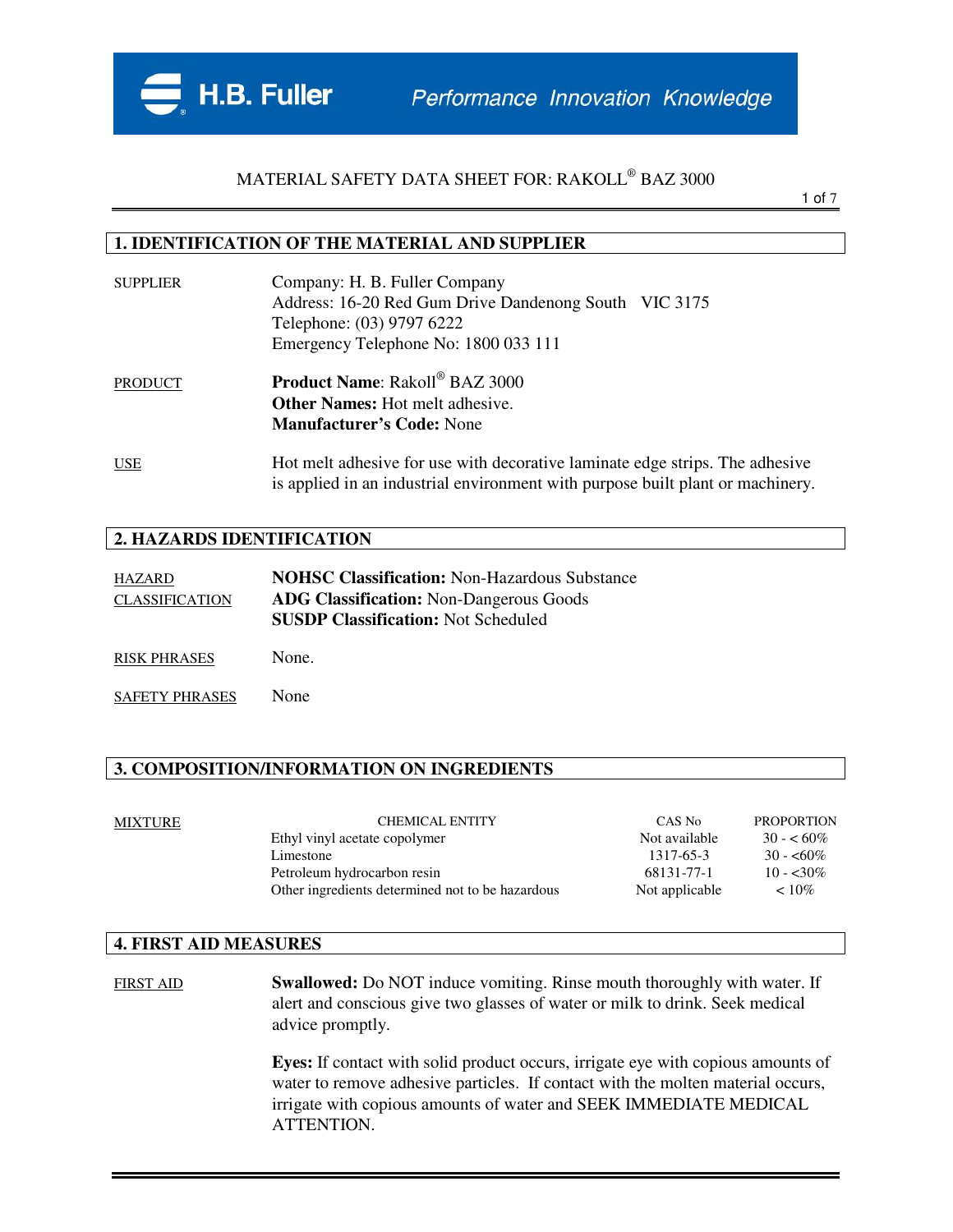

1 of 7

#### **1. IDENTIFICATION OF THE MATERIAL AND SUPPLIER**

| <b>SUPPLIER</b> | Company: H. B. Fuller Company<br>Address: 16-20 Red Gum Drive Dandenong South VIC 3175<br>Telephone: (03) 9797 6222<br>Emergency Telephone No: 1800 033 111    |  |
|-----------------|----------------------------------------------------------------------------------------------------------------------------------------------------------------|--|
| <b>PRODUCT</b>  | <b>Product Name:</b> Rakoll <sup>®</sup> BAZ 3000<br><b>Other Names:</b> Hot melt adhesive.<br><b>Manufacturer's Code: None</b>                                |  |
| <b>USE</b>      | Hot melt adhesive for use with decorative laminate edge strips. The adhesive<br>is applied in an industrial environment with purpose built plant or machinery. |  |

#### **2. HAZARDS IDENTIFICATION**

| HAZARD                | <b>NOHSC Classification: Non-Hazardous Substance</b> |
|-----------------------|------------------------------------------------------|
| <b>CLASSIFICATION</b> | <b>ADG Classification:</b> Non-Dangerous Goods       |
|                       | <b>SUSDP Classification: Not Scheduled</b>           |

RISK PHRASES None.

SAFETY PHRASES None

#### **3. COMPOSITION/INFORMATION ON INGREDIENTS**

| <b>PROPORTION</b><br>CAS No  |
|------------------------------|
| Not available<br>$30 - 60\%$ |
| 1317-65-3<br>$30 - 60\%$     |
| 68131-77-1<br>$10 - 30\%$    |
| Not applicable<br>$~10\%$    |
|                              |

#### **4. FIRST AID MEASURES**

FIRST AID **Swallowed:** Do NOT induce vomiting. Rinse mouth thoroughly with water. If alert and conscious give two glasses of water or milk to drink. Seek medical advice promptly.

> **Eyes:** If contact with solid product occurs, irrigate eye with copious amounts of water to remove adhesive particles. If contact with the molten material occurs, irrigate with copious amounts of water and SEEK IMMEDIATE MEDICAL ATTENTION.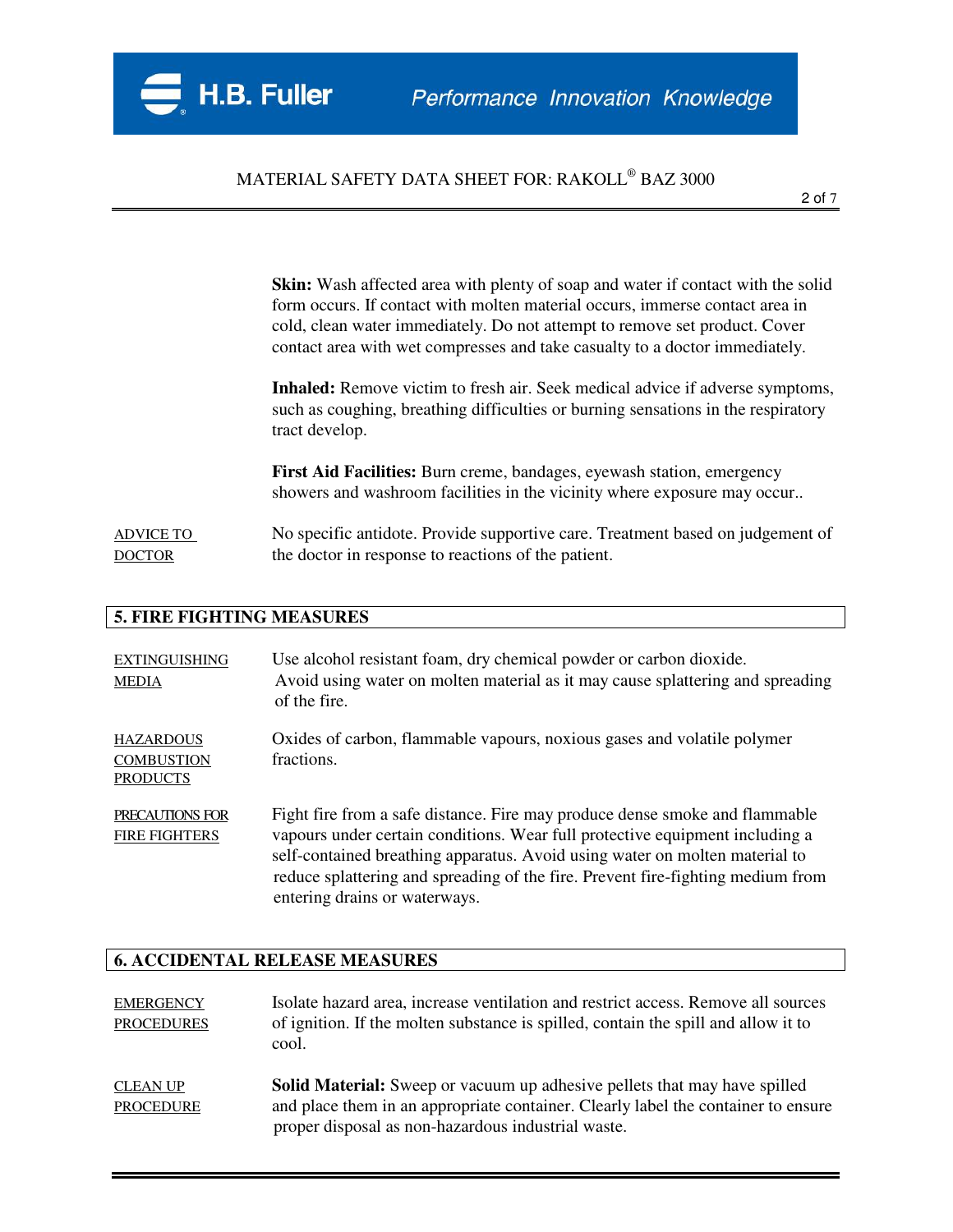**Skin:** Wash affected area with plenty of soap and water if contact with the solid form occurs. If contact with molten material occurs, immerse contact area in cold, clean water immediately. Do not attempt to remove set product. Cover contact area with wet compresses and take casualty to a doctor immediately.

**Inhaled:** Remove victim to fresh air. Seek medical advice if adverse symptoms, such as coughing, breathing difficulties or burning sensations in the respiratory tract develop.

**First Aid Facilities:** Burn creme, bandages, eyewash station, emergency showers and washroom facilities in the vicinity where exposure may occur..

ADVICE TO No specific antidote. Provide supportive care. Treatment based on judgement of DOCTOR the doctor in response to reactions of the patient.

#### **5. FIRE FIGHTING MEASURES**

| <b>EXTINGUISHING</b><br><b>MEDIA</b>                     | Use alcohol resistant foam, dry chemical powder or carbon dioxide.<br>Avoid using water on molten material as it may cause splattering and spreading<br>of the fire.                                                                                                                                                                                           |
|----------------------------------------------------------|----------------------------------------------------------------------------------------------------------------------------------------------------------------------------------------------------------------------------------------------------------------------------------------------------------------------------------------------------------------|
| <b>HAZARDOUS</b><br><b>COMBUSTION</b><br><b>PRODUCTS</b> | Oxides of carbon, flammable vapours, noxious gases and volatile polymer<br>fractions.                                                                                                                                                                                                                                                                          |
| PRECAUTIONS FOR<br><b>FIRE FIGHTERS</b>                  | Fight fire from a safe distance. Fire may produce dense smoke and flammable<br>vapours under certain conditions. Wear full protective equipment including a<br>self-contained breathing apparatus. Avoid using water on molten material to<br>reduce splattering and spreading of the fire. Prevent fire-fighting medium from<br>entering drains or waterways. |

#### **6. ACCIDENTAL RELEASE MEASURES**

| <b>EMERGENCY</b><br><b>PROCEDURES</b> | Isolate hazard area, increase ventilation and restrict access. Remove all sources<br>of ignition. If the molten substance is spilled, contain the spill and allow it to<br>cool.                                            |
|---------------------------------------|-----------------------------------------------------------------------------------------------------------------------------------------------------------------------------------------------------------------------------|
| <b>CLEAN UP</b><br><b>PROCEDURE</b>   | <b>Solid Material:</b> Sweep or vacuum up adhesive pellets that may have spilled<br>and place them in an appropriate container. Clearly label the container to ensure<br>proper disposal as non-hazardous industrial waste. |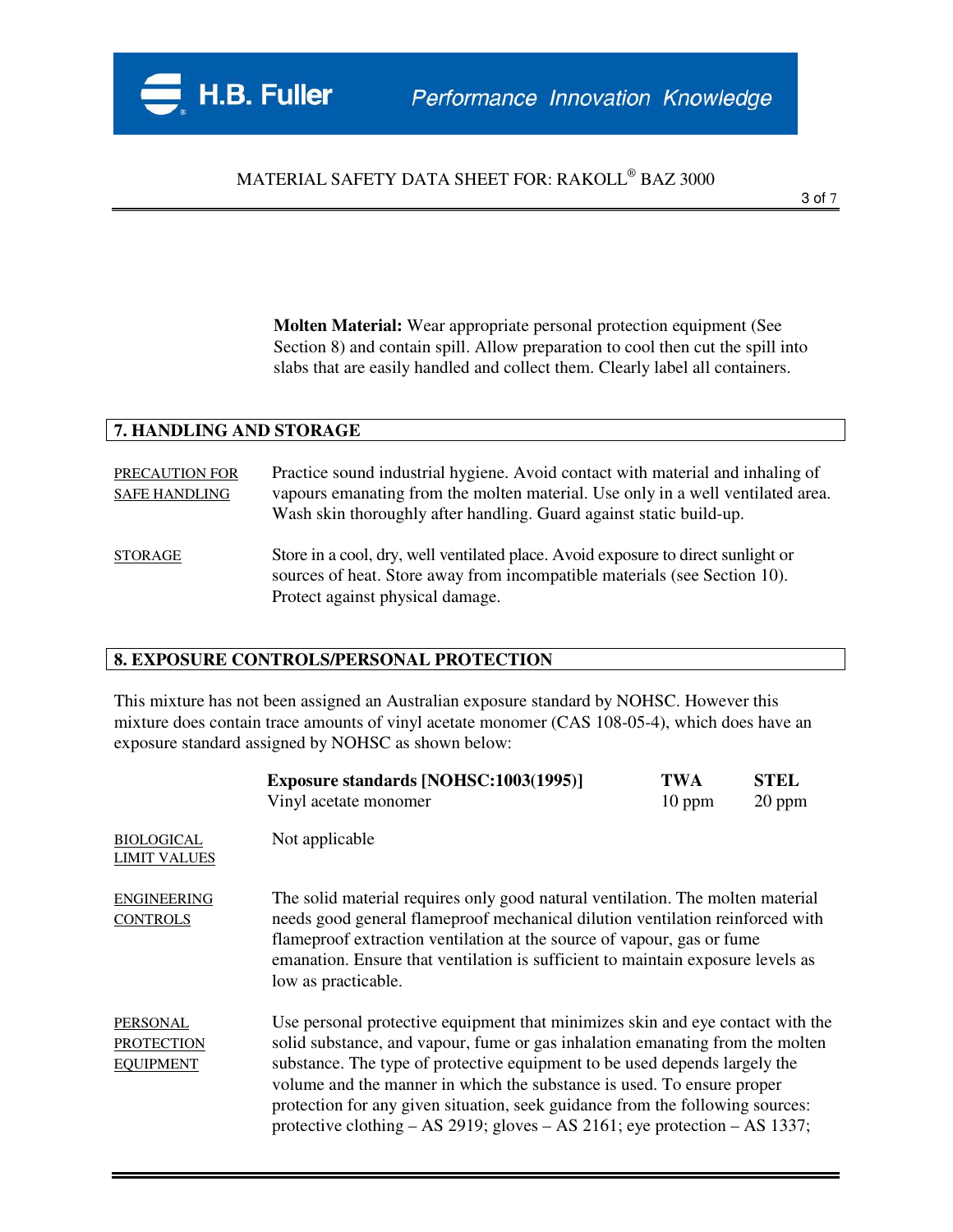**Molten Material:** Wear appropriate personal protection equipment (See Section 8) and contain spill. Allow preparation to cool then cut the spill into slabs that are easily handled and collect them. Clearly label all containers.

#### **7. HANDLING AND STORAGE**

PRECAUTION FOR Practice sound industrial hygiene. Avoid contact with material and inhaling of SAFE HANDLING vapours emanating from the molten material. Use only in a well ventilated area. Wash skin thoroughly after handling. Guard against static build-up. STORAGE Store in a cool, dry, well ventilated place. Avoid exposure to direct sunlight or sources of heat. Store away from incompatible materials (see Section 10). Protect against physical damage.

### **8. EXPOSURE CONTROLS/PERSONAL PROTECTION**

This mixture has not been assigned an Australian exposure standard by NOHSC. However this mixture does contain trace amounts of vinyl acetate monomer (CAS 108-05-4), which does have an exposure standard assigned by NOHSC as shown below:

|                                                          | <b>Exposure standards [NOHSC:1003(1995)]</b><br>Vinyl acetate monomer                                                                                                                                                                                                                                                                                                                                                                                                                           | <b>TWA</b><br>$10$ ppm | <b>STEL</b><br>20 ppm |
|----------------------------------------------------------|-------------------------------------------------------------------------------------------------------------------------------------------------------------------------------------------------------------------------------------------------------------------------------------------------------------------------------------------------------------------------------------------------------------------------------------------------------------------------------------------------|------------------------|-----------------------|
| <b>BIOLOGICAL</b><br><b>LIMIT VALUES</b>                 | Not applicable                                                                                                                                                                                                                                                                                                                                                                                                                                                                                  |                        |                       |
| <b>ENGINEERING</b><br><b>CONTROLS</b>                    | The solid material requires only good natural ventilation. The molten material<br>needs good general flameproof mechanical dilution ventilation reinforced with<br>flame proof extraction ventilation at the source of vapour, gas or fume<br>emanation. Ensure that ventilation is sufficient to maintain exposure levels as<br>low as practicable.                                                                                                                                            |                        |                       |
| <b>PERSONAL</b><br><b>PROTECTION</b><br><b>EQUIPMENT</b> | Use personal protective equipment that minimizes skin and eye contact with the<br>solid substance, and vapour, fume or gas inhalation emanating from the molten<br>substance. The type of protective equipment to be used depends largely the<br>volume and the manner in which the substance is used. To ensure proper<br>protection for any given situation, seek guidance from the following sources:<br>protective clothing $- AS 2919$ ; gloves $- AS 2161$ ; eye protection $- AS 1337$ ; |                        |                       |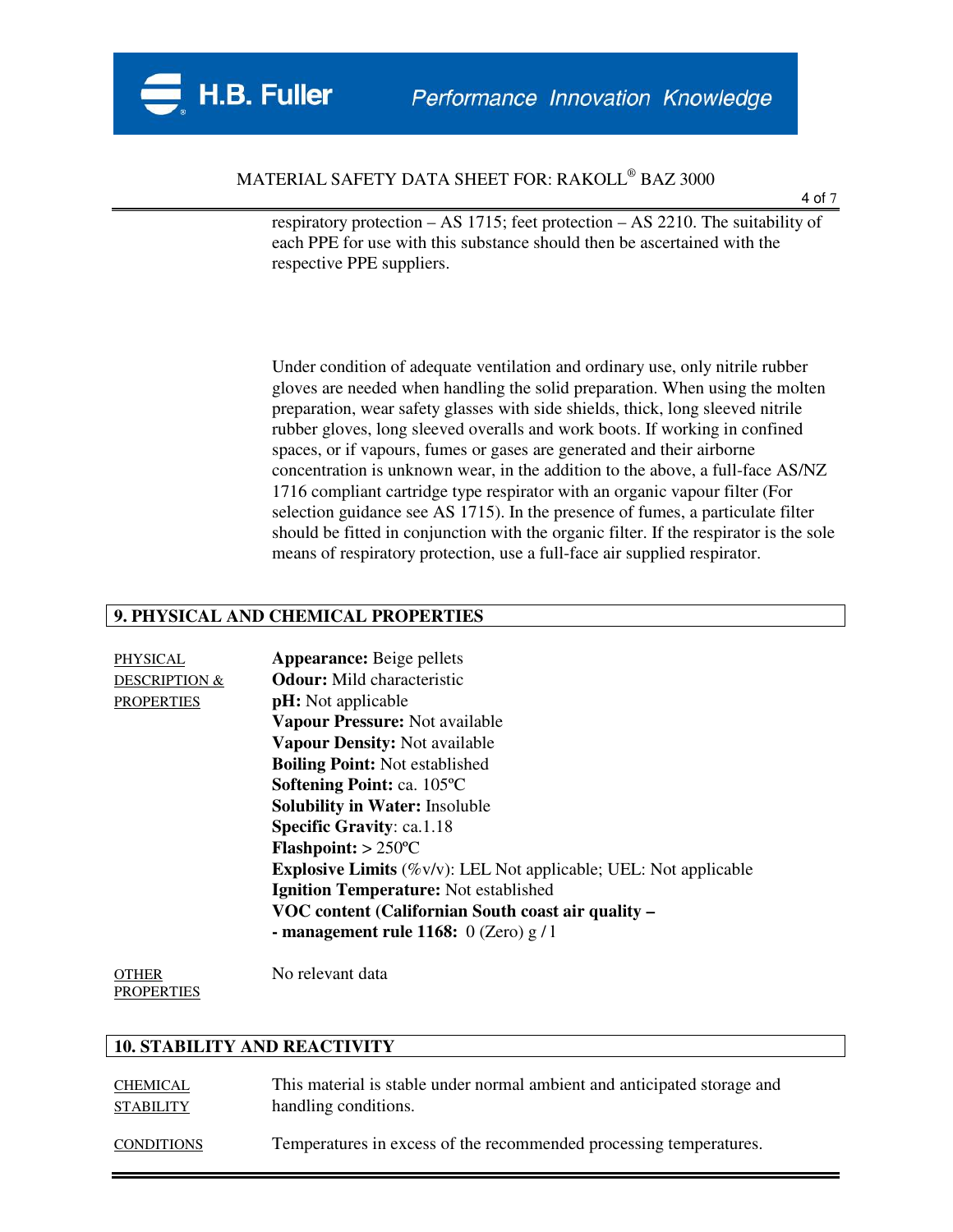

4 of 7

respiratory protection – AS 1715; feet protection – AS 2210. The suitability of each PPE for use with this substance should then be ascertained with the respective PPE suppliers.

Under condition of adequate ventilation and ordinary use, only nitrile rubber gloves are needed when handling the solid preparation. When using the molten preparation, wear safety glasses with side shields, thick, long sleeved nitrile rubber gloves, long sleeved overalls and work boots. If working in confined spaces, or if vapours, fumes or gases are generated and their airborne concentration is unknown wear, in the addition to the above, a full-face AS/NZ 1716 compliant cartridge type respirator with an organic vapour filter (For selection guidance see AS 1715). In the presence of fumes, a particulate filter should be fitted in conjunction with the organic filter. If the respirator is the sole means of respiratory protection, use a full-face air supplied respirator.

#### **9. PHYSICAL AND CHEMICAL PROPERTIES**

| PHYSICAL                 | <b>Appearance:</b> Beige pellets                                            |
|--------------------------|-----------------------------------------------------------------------------|
| <b>DESCRIPTION &amp;</b> | <b>Odour:</b> Mild characteristic                                           |
| <b>PROPERTIES</b>        | <b>pH</b> : Not applicable                                                  |
|                          | Vapour Pressure: Not available                                              |
|                          | Vapour Density: Not available                                               |
|                          | <b>Boiling Point:</b> Not established                                       |
|                          | Softening Point: ca. 105°C                                                  |
|                          | <b>Solubility in Water: Insoluble</b>                                       |
|                          | <b>Specific Gravity: ca.1.18</b>                                            |
|                          | $Flashpoint: > 250°C$                                                       |
|                          | <b>Explosive Limits</b> $(\%v/v)$ : LEL Not applicable; UEL: Not applicable |
|                          | <b>Ignition Temperature:</b> Not established                                |
|                          | VOC content (Californian South coast air quality –                          |
|                          | - management rule 1168: $0$ (Zero) g / 1                                    |
|                          |                                                                             |

OTHER No relevant data **PROPERTIES** 

#### **10. STABILITY AND REACTIVITY**

CHEMICAL This material is stable under normal ambient and anticipated storage and STABILITY handling conditions. CONDITIONS Temperatures in excess of the recommended processing temperatures.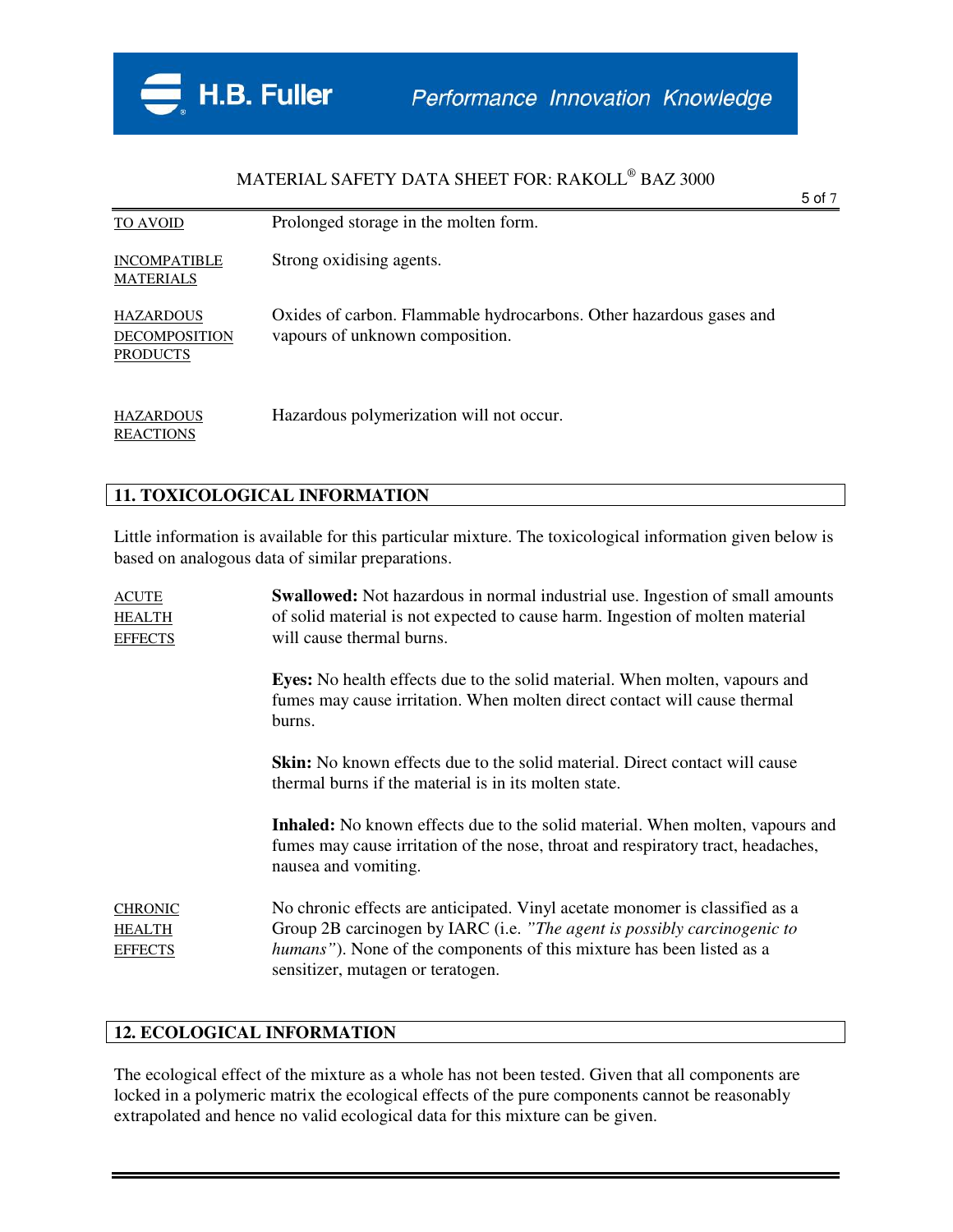

|                                                             |                                                                                                        | 5 of 7 |
|-------------------------------------------------------------|--------------------------------------------------------------------------------------------------------|--------|
| <b>TO AVOID</b>                                             | Prolonged storage in the molten form.                                                                  |        |
| <b>INCOMPATIBLE</b><br><b>MATERIALS</b>                     | Strong oxidising agents.                                                                               |        |
| <b>HAZARDOUS</b><br><b>DECOMPOSITION</b><br><b>PRODUCTS</b> | Oxides of carbon. Flammable hydrocarbons. Other hazardous gases and<br>vapours of unknown composition. |        |
| <b>HAZARDOUS</b><br><b>REACTIONS</b>                        | Hazardous polymerization will not occur.                                                               |        |

#### **11. TOXICOLOGICAL INFORMATION**

Little information is available for this particular mixture. The toxicological information given below is based on analogous data of similar preparations.

| <b>ACUTE</b><br><b>HEALTH</b><br><b>EFFECTS</b>   | <b>Swallowed:</b> Not hazardous in normal industrial use. Ingestion of small amounts<br>of solid material is not expected to cause harm. Ingestion of molten material<br>will cause thermal burns.                                                                     |  |  |
|---------------------------------------------------|------------------------------------------------------------------------------------------------------------------------------------------------------------------------------------------------------------------------------------------------------------------------|--|--|
|                                                   | <b>Eyes:</b> No health effects due to the solid material. When molten, vapours and<br>fumes may cause irritation. When molten direct contact will cause thermal<br>burns.                                                                                              |  |  |
|                                                   | <b>Skin:</b> No known effects due to the solid material. Direct contact will cause<br>thermal burns if the material is in its molten state.                                                                                                                            |  |  |
|                                                   | <b>Inhaled:</b> No known effects due to the solid material. When molten, vapours and<br>fumes may cause irritation of the nose, throat and respiratory tract, headaches,<br>nausea and vomiting.                                                                       |  |  |
| <b>CHRONIC</b><br><b>HEALTH</b><br><b>EFFECTS</b> | No chronic effects are anticipated. Vinyl acetate monomer is classified as a<br>Group 2B carcinogen by IARC (i.e. "The agent is possibly carcinogenic to<br>humans"). None of the components of this mixture has been listed as a<br>sensitizer, mutagen or teratogen. |  |  |

#### **12. ECOLOGICAL INFORMATION**

The ecological effect of the mixture as a whole has not been tested. Given that all components are locked in a polymeric matrix the ecological effects of the pure components cannot be reasonably extrapolated and hence no valid ecological data for this mixture can be given.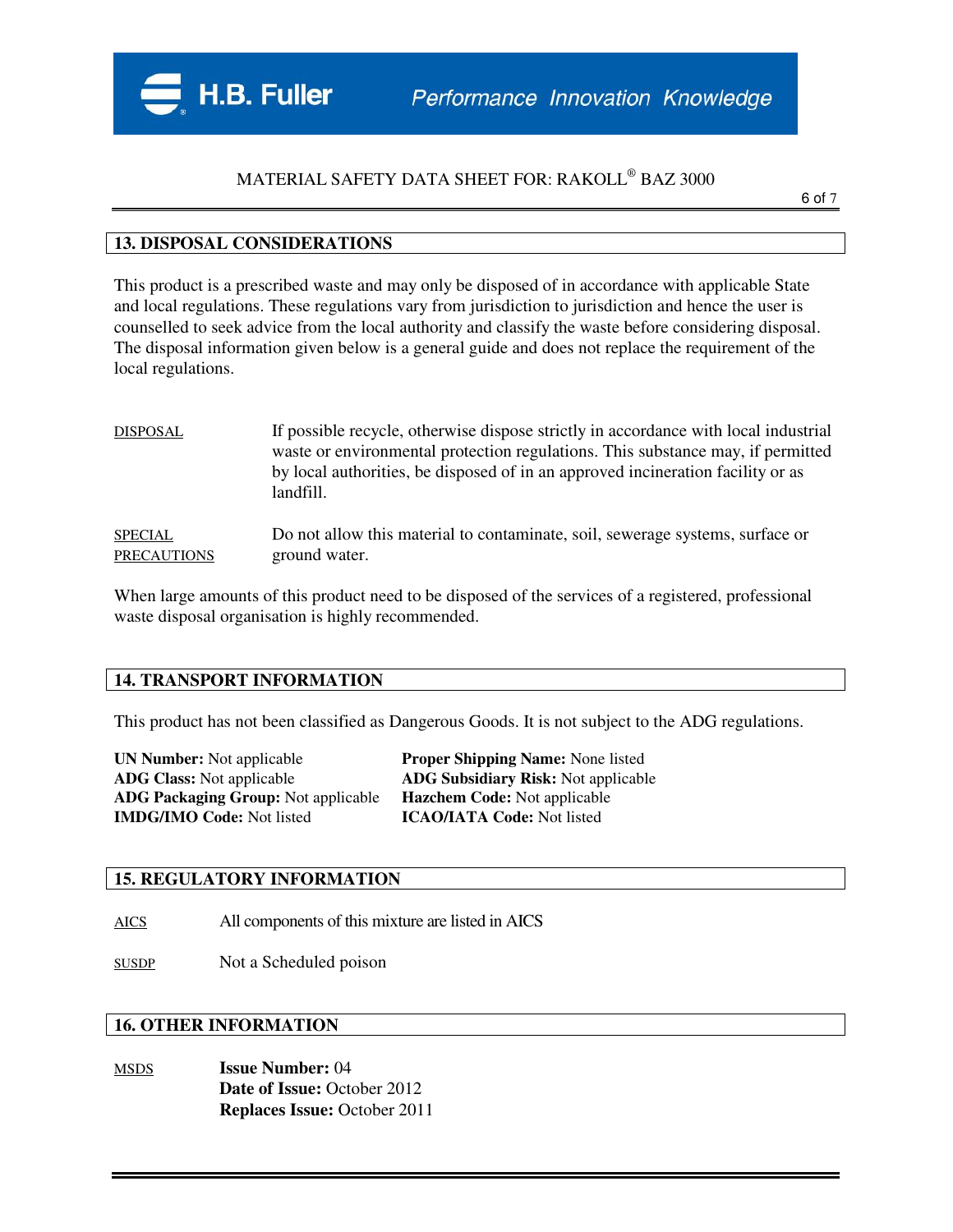

6 of 7

#### **13. DISPOSAL CONSIDERATIONS**

This product is a prescribed waste and may only be disposed of in accordance with applicable State and local regulations. These regulations vary from jurisdiction to jurisdiction and hence the user is counselled to seek advice from the local authority and classify the waste before considering disposal. The disposal information given below is a general guide and does not replace the requirement of the local regulations.

| <b>DISPOSAL</b>    | If possible recycle, otherwise dispose strictly in accordance with local industrial<br>waste or environmental protection regulations. This substance may, if permitted<br>by local authorities, be disposed of in an approved incineration facility or as<br>landfill. |
|--------------------|------------------------------------------------------------------------------------------------------------------------------------------------------------------------------------------------------------------------------------------------------------------------|
| <b>SPECIAL</b>     | Do not allow this material to contaminate, soil, sewerage systems, surface or                                                                                                                                                                                          |
| <b>PRECAUTIONS</b> | ground water.                                                                                                                                                                                                                                                          |

When large amounts of this product need to be disposed of the services of a registered, professional waste disposal organisation is highly recommended.

#### **14. TRANSPORT INFORMATION**

This product has not been classified as Dangerous Goods. It is not subject to the ADG regulations.

| <b>UN Number:</b> Not applicable           | <b>Proper Shipping Name: None listed</b>   |
|--------------------------------------------|--------------------------------------------|
| <b>ADG Class:</b> Not applicable           | <b>ADG Subsidiary Risk:</b> Not applicable |
| <b>ADG Packaging Group:</b> Not applicable | <b>Hazchem Code:</b> Not applicable        |
| <b>IMDG/IMO Code:</b> Not listed           | <b>ICAO/IATA Code:</b> Not listed          |

#### **15. REGULATORY INFORMATION**

AICS All components of this mixture are listed in AICS

SUSDP Not a Scheduled poison

### **16. OTHER INFORMATION**

MSDS **Issue Number:** 04 **Date of Issue:** October 2012 **Replaces Issue:** October 2011